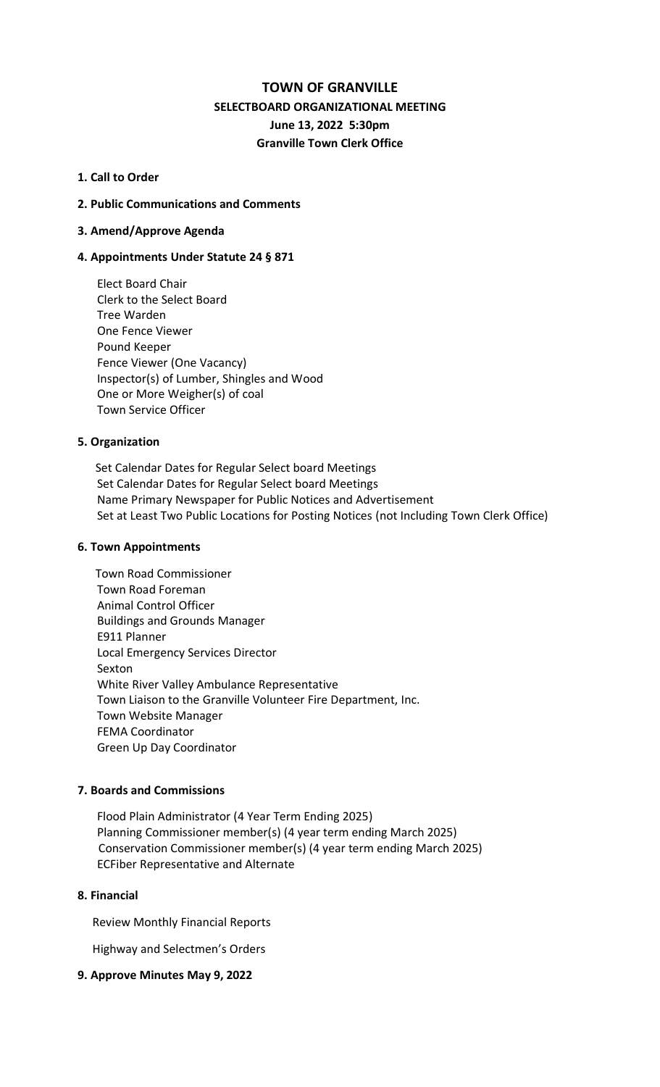## **TOWN OF GRANVILLE**

# **SELECTBOARD ORGANIZATIONAL MEETING June 13, 2022 5:30pm Granville Town Clerk Office**

### **1. Call to Order**

## **2. Public Communications and Comments**

## **3. Amend/Approve Agenda**

## **4. Appointments Under Statute 24 § 871**

Elect Board Chair Clerk to the Select Board Tree Warden One Fence Viewer Pound Keeper Fence Viewer (One Vacancy) Inspector(s) of Lumber, Shingles and Wood One or More Weigher(s) of coal Town Service Officer

## **5. Organization**

 Set Calendar Dates for Regular Select board Meetings Set Calendar Dates for Regular Select board Meetings Name Primary Newspaper for Public Notices and Advertisement Set at Least Two Public Locations for Posting Notices (not Including Town Clerk Office)

#### **6. Town Appointments**

Town Road Commissioner Town Road Foreman Animal Control Officer Buildings and Grounds Manager E911 Planner Local Emergency Services Director Sexton White River Valley Ambulance Representative Town Liaison to the Granville Volunteer Fire Department, Inc. Town Website Manager FEMA Coordinator Green Up Day Coordinator

#### **7. Boards and Commissions**

Flood Plain Administrator (4 Year Term Ending 2025) Planning Commissioner member(s) (4 year term ending March 2025) Conservation Commissioner member(s) (4 year term ending March 2025) ECFiber Representative and Alternate

### **8. Financial**

Review Monthly Financial Reports

Highway and Selectmen's Orders

#### **9. Approve Minutes May 9, 2022**